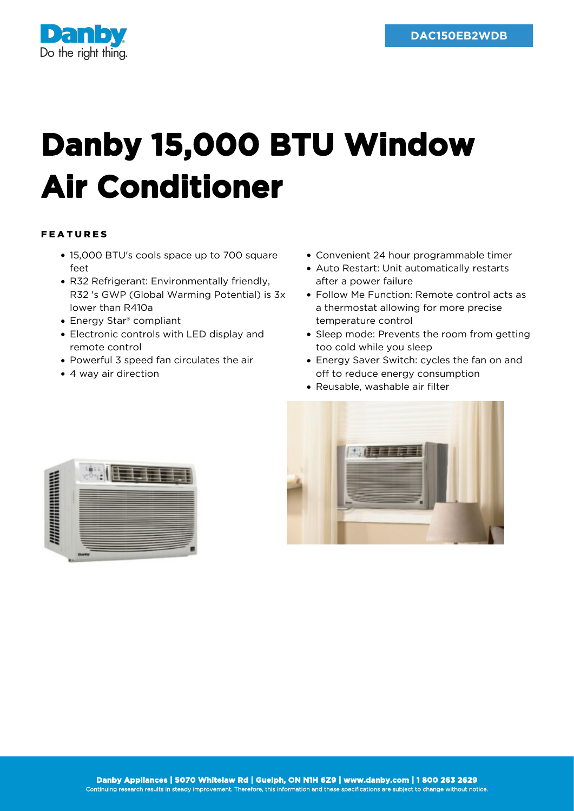

## **Danby 15,000 BTU Window Air Conditioner**

## FEATURES

- 15,000 BTU's cools space up to 700 square feet
- R32 Refrigerant: Environmentally friendly, R32 's GWP (Global Warming Potential) is 3x lower than R410a
- Energy Star® compliant
- Electronic controls with LED display and remote control
- Powerful 3 speed fan circulates the air
- 4 way air direction
- Convenient 24 hour programmable timer
- Auto Restart: Unit automatically restarts after a power failure
- Follow Me Function: Remote control acts as a thermostat allowing for more precise temperature control
- Sleep mode: Prevents the room from getting too cold while you sleep
- Energy Saver Switch: cycles the fan on and off to reduce energy consumption
- Reusable, washable air filter